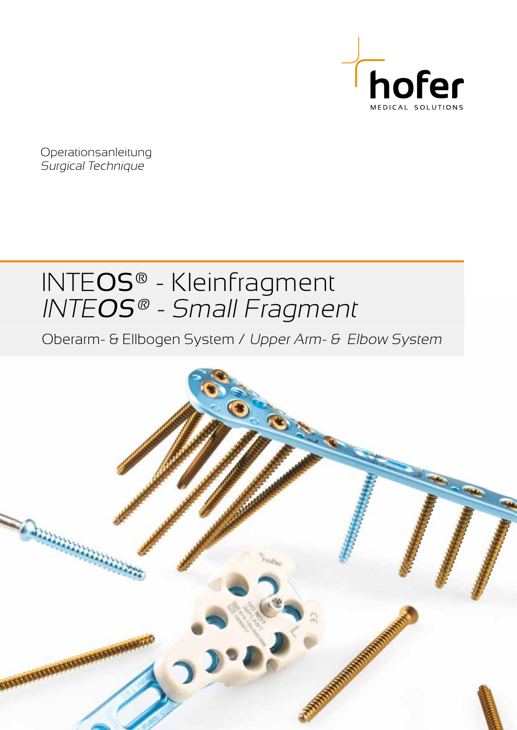

Operationsanleitung Surgical Technique

# INTEOS® - Kleinfragment INTEOS® - Small Fragment

Oberarm- & Ellbogen System / Upper Arm- & Elbow System

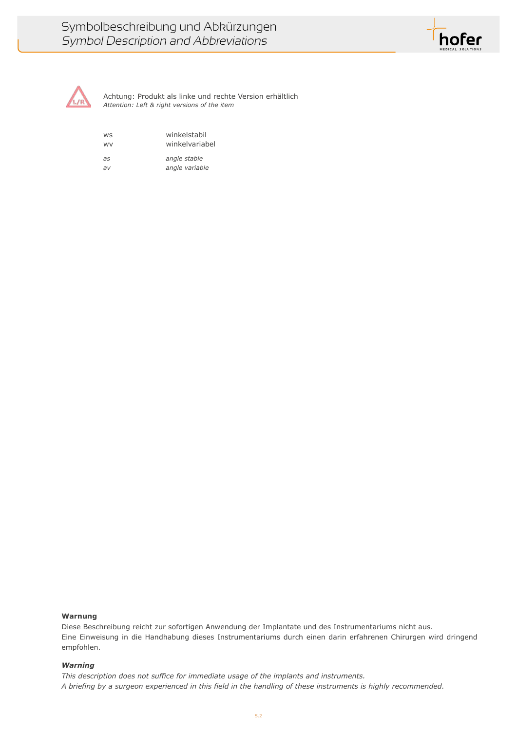



Achtung: Produkt als linke und rechte Version erhältlich *Attention: Left & right versions of the item*

| winkelstabil<br><b>WS</b><br>winkelvariabel<br><b>WV</b> |                |
|----------------------------------------------------------|----------------|
| as                                                       | angle stable   |
| $\partial V$                                             | angle variable |

## **Warnung**

Diese Beschreibung reicht zur sofortigen Anwendung der Implantate und des Instrumentariums nicht aus. Eine Einweisung in die Handhabung dieses Instrumentariums durch einen darin erfahrenen Chirurgen wird dringend empfohlen.

## *Warning*

*This description does not suffice for immediate usage of the implants and instruments. A briefing by a surgeon experienced in this field in the handling of these instruments is highly recommended.*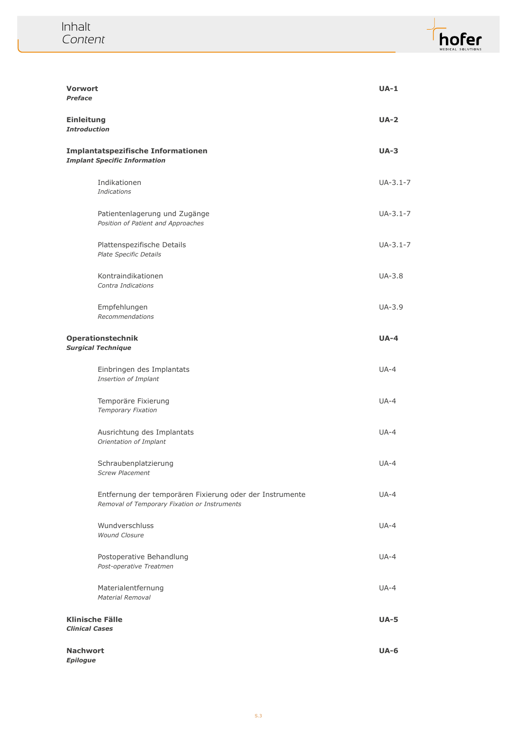

| <b>Vorwort</b><br><b>Preface</b>                |                                                                                                          | $UA-1$      |
|-------------------------------------------------|----------------------------------------------------------------------------------------------------------|-------------|
| <b>Einleitung</b><br><b>Introduction</b>        |                                                                                                          | $UA-2$      |
|                                                 | Implantatspezifische Informationen<br><b>Implant Specific Information</b>                                | $UA-3$      |
|                                                 | Indikationen<br><b>Indications</b>                                                                       | $UA-3.1-7$  |
|                                                 | Patientenlagerung und Zugänge<br>Position of Patient and Approaches                                      | $UA-3.1-7$  |
|                                                 | Plattenspezifische Details<br>Plate Specific Details                                                     | $UA-3.1-7$  |
|                                                 | Kontraindikationen<br>Contra Indications                                                                 | UA-3.8      |
|                                                 | Empfehlungen<br>Recommendations                                                                          | UA-3.9      |
|                                                 | <b>Operationstechnik</b><br><b>Surgical Technique</b>                                                    | $UA-4$      |
|                                                 | Einbringen des Implantats<br>Insertion of Implant                                                        | $UA-4$      |
|                                                 | Temporäre Fixierung<br>Temporary Fixation                                                                | $UA-4$      |
|                                                 | Ausrichtung des Implantats<br>Orientation of Implant                                                     | $UA-4$      |
|                                                 | Schraubenplatzierung<br><b>Screw Placement</b>                                                           | $UA-4$      |
|                                                 | Entfernung der temporären Fixierung oder der Instrumente<br>Removal of Temporary Fixation or Instruments | $UA-4$      |
|                                                 | Wundverschluss<br><b>Wound Closure</b>                                                                   | $UA-4$      |
|                                                 | Postoperative Behandlung<br>Post-operative Treatmen                                                      | $UA-4$      |
|                                                 | Materialentfernung<br><b>Material Removal</b>                                                            | $UA-4$      |
| <b>Klinische Fälle</b><br><b>Clinical Cases</b> |                                                                                                          | <b>UA-5</b> |
| <b>Nachwort</b><br><b>Epilogue</b>              |                                                                                                          | <b>UA-6</b> |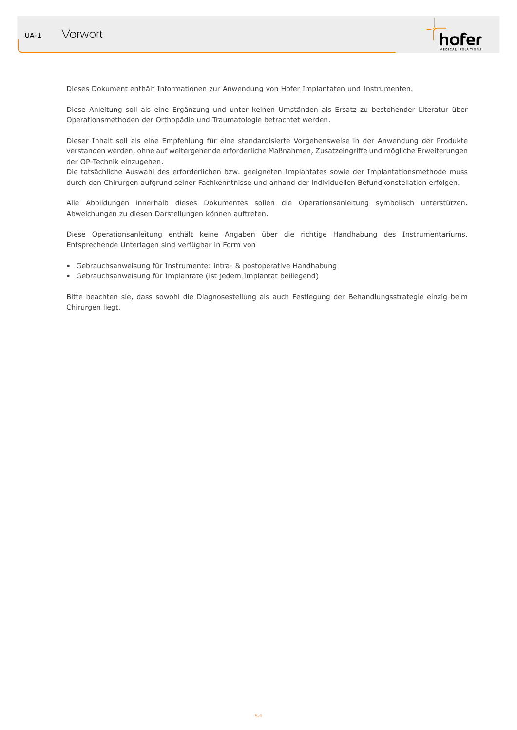

Dieses Dokument enthält Informationen zur Anwendung von Hofer Implantaten und Instrumenten.

Diese Anleitung soll als eine Ergänzung und unter keinen Umständen als Ersatz zu bestehender Literatur über Operationsmethoden der Orthopädie und Traumatologie betrachtet werden.

Dieser Inhalt soll als eine Empfehlung für eine standardisierte Vorgehensweise in der Anwendung der Produkte verstanden werden, ohne auf weitergehende erforderliche Maßnahmen, Zusatzeingriffe und mögliche Erweiterungen der OP-Technik einzugehen.

Die tatsächliche Auswahl des erforderlichen bzw. geeigneten Implantates sowie der Implantationsmethode muss durch den Chirurgen aufgrund seiner Fachkenntnisse und anhand der individuellen Befundkonstellation erfolgen.

Alle Abbildungen innerhalb dieses Dokumentes sollen die Operationsanleitung symbolisch unterstützen. Abweichungen zu diesen Darstellungen können auftreten.

Diese Operationsanleitung enthält keine Angaben über die richtige Handhabung des Instrumentariums. Entsprechende Unterlagen sind verfügbar in Form von

- Gebrauchsanweisung für Instrumente: intra- & postoperative Handhabung
- Gebrauchsanweisung für Implantate (ist jedem Implantat beiliegend)

Bitte beachten sie, dass sowohl die Diagnosestellung als auch Festlegung der Behandlungsstrategie einzig beim Chirurgen liegt.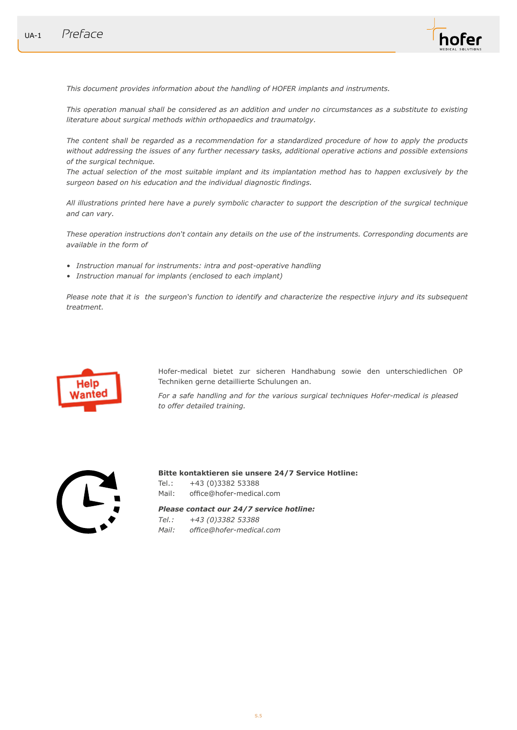

*This document provides information about the handling of HOFER implants and instruments.*

*This operation manual shall be considered as an addition and under no circumstances as a substitute to existing literature about surgical methods within orthopaedics and traumatolgy.*

*The content shall be regarded as a recommendation for a standardized procedure of how to apply the products without addressing the issues of any further necessary tasks, additional operative actions and possible extensions of the surgical technique.*

*The actual selection of the most suitable implant and its implantation method has to happen exclusively by the surgeon based on his education and the individual diagnostic findings.*

*All illustrations printed here have a purely symbolic character to support the description of the surgical technique and can vary.*

*These operation instructions don't contain any details on the use of the instruments. Corresponding documents are available in the form of*

- *• Instruction manual for instruments: intra and post-operative handling*
- *• Instruction manual for implants (enclosed to each implant)*

*Please note that it is the surgeon's function to identify and characterize the respective injury and its subsequent treatment.* 



Hofer-medical bietet zur sicheren Handhabung sowie den unterschiedlichen OP Techniken gerne detaillierte Schulungen an.

*For a safe handling and for the various surgical techniques Hofer-medical is pleased to offer detailed training.* 



**Bitte kontaktieren sie unsere 24/7 Service Hotline:**

Tel.: +43 (0)3382 53388 Mail: office@hofer-medical.com

*Please contact our 24/7 service hotline:*

*Tel.: +43 (0)3382 53388*

*Mail: office@hofer-medical.com*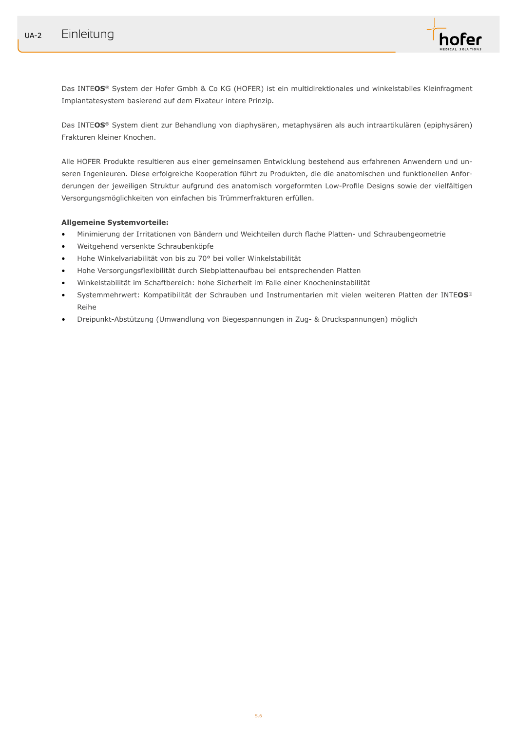

Das INTE**OS**® System der Hofer Gmbh & Co KG (HOFER) ist ein multidirektionales und winkelstabiles Kleinfragment Implantatesystem basierend auf dem Fixateur intere Prinzip.

Das INTE**OS**® System dient zur Behandlung von diaphysären, metaphysären als auch intraartikulären (epiphysären) Frakturen kleiner Knochen.

Alle HOFER Produkte resultieren aus einer gemeinsamen Entwicklung bestehend aus erfahrenen Anwendern und unseren Ingenieuren. Diese erfolgreiche Kooperation führt zu Produkten, die die anatomischen und funktionellen Anforderungen der jeweiligen Struktur aufgrund des anatomisch vorgeformten Low-Profile Designs sowie der vielfältigen Versorgungsmöglichkeiten von einfachen bis Trümmerfrakturen erfüllen.

## **Allgemeine Systemvorteile:**

- Minimierung der Irritationen von Bändern und Weichteilen durch flache Platten- und Schraubengeometrie
- Weitgehend versenkte Schraubenköpfe
- Hohe Winkelvariabilität von bis zu 70° bei voller Winkelstabilität
- Hohe Versorgungsflexibilität durch Siebplattenaufbau bei entsprechenden Platten
- Winkelstabilität im Schaftbereich: hohe Sicherheit im Falle einer Knocheninstabilität
- Systemmehrwert: Kompatibilität der Schrauben und Instrumentarien mit vielen weiteren Platten der INTE**OS**® Reihe
- Dreipunkt-Abstützung (Umwandlung von Biegespannungen in Zug- & Druckspannungen) möglich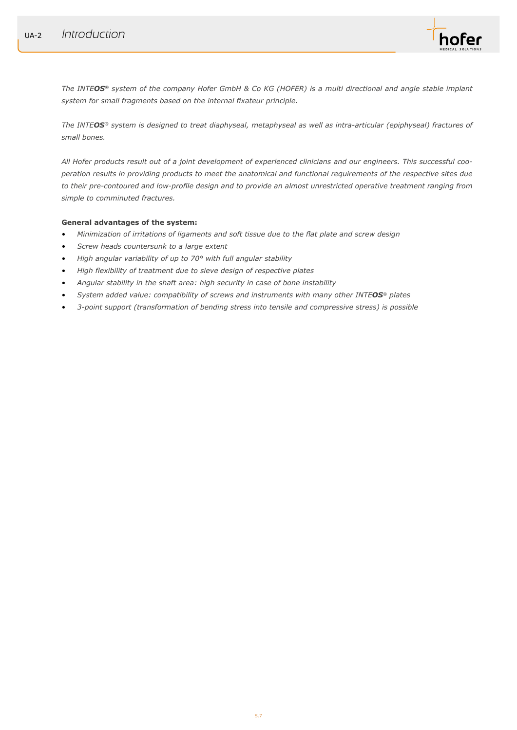

*The INTEOS® system of the company Hofer GmbH & Co KG (HOFER) is a multi directional and angle stable implant system for small fragments based on the internal fixateur principle.*

*The INTEOS® system is designed to treat diaphyseal, metaphyseal as well as intra-articular (epiphyseal) fractures of small bones.* 

*All Hofer products result out of a joint development of experienced clinicians and our engineers. This successful cooperation results in providing products to meet the anatomical and functional requirements of the respective sites due to their pre-contoured and low-profile design and to provide an almost unrestricted operative treatment ranging from simple to comminuted fractures.*

## **General advantages of the system:**

- *• Minimization of irritations of ligaments and soft tissue due to the flat plate and screw design*
- *• Screw heads countersunk to a large extent*
- *• High angular variability of up to 70° with full angular stability*
- *• High flexibility of treatment due to sieve design of respective plates*
- *• Angular stability in the shaft area: high security in case of bone instability*
- *• System added value: compatibility of screws and instruments with many other INTEOS® plates*
- *• 3-point support (transformation of bending stress into tensile and compressive stress) is possible*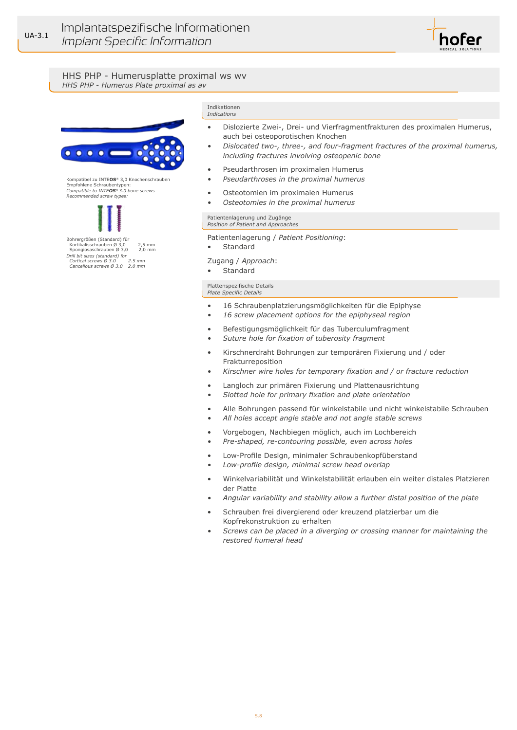

HHS PHP - Humerusplatte proximal ws wv *HHS PHP - Humerus Plate proximal as av*



Kompatibel zu INTE**OS**® 3,0 Knochenschrauben Empfohlene Schraubentypen: *Compatible to INTEOS® 3.0 bone screws Recommended screw types:*



Kortikalisschrauben Ø 3,0 2,5 mm<br>Spongiosaschrauben Ø 3.0 2.0 mm Spongiosaschrauben Ø 3,0 2,0 mm *Drill bit sizes (standard) for Cortical screws Ø 3.0 2.5 mm Cancellous screws Ø 3.0 2.0 mm*

Indikationen *Indications*

- Dislozierte Zwei-, Drei- und Vierfragmentfrakturen des proximalen Humerus, auch bei osteoporotischen Knochen
- *• Dislocated two-, three-, and four-fragment fractures of the proximal humerus, including fractures involving osteopenic bone*
- Pseudarthrosen im proximalen Humerus
- *• Pseudarthroses in the proximal humerus*
- Osteotomien im proximalen Humerus
- *• Osteotomies in the proximal humerus*

Patientenlagerung und Zugänge *Position of Patient and Approaches*

Patientenlagerung / *Patient Positioning*:

• Standard

Zugang / *Approach*:

**Standard** 

#### Plattenspezifische Details

*Plate Specific Details*

- 16 Schraubenplatzierungsmöglichkeiten für die Epiphyse
- *• 16 screw placement options for the epiphyseal region*
- Befestigungsmöglichkeit für das Tuberculumfragment
- *• Suture hole for fixation of tuberosity fragment*
- Kirschnerdraht Bohrungen zur temporären Fixierung und / oder Frakturreposition
- *• Kirschner wire holes for temporary fixation and / or fracture reduction*
- Langloch zur primären Fixierung und Plattenausrichtung
- *• Slotted hole for primary fixation and plate orientation*
- Alle Bohrungen passend für winkelstabile und nicht winkelstabile Schrauben
- *• All holes accept angle stable and not angle stable screws*
- Vorgebogen, Nachbiegen möglich, auch im Lochbereich
- *• Pre-shaped, re-contouring possible, even across holes*
- Low-Profile Design, minimaler Schraubenkopfüberstand
- *• Low-profile design, minimal screw head overlap*
- Winkelvariabilität und Winkelstabilität erlauben ein weiter distales Platzieren der Platte
- *• Angular variability and stability allow a further distal position of the plate*
- Schrauben frei divergierend oder kreuzend platzierbar um die Kopfrekonstruktion zu erhalten
- *• Screws can be placed in a diverging or crossing manner for maintaining the restored humeral head*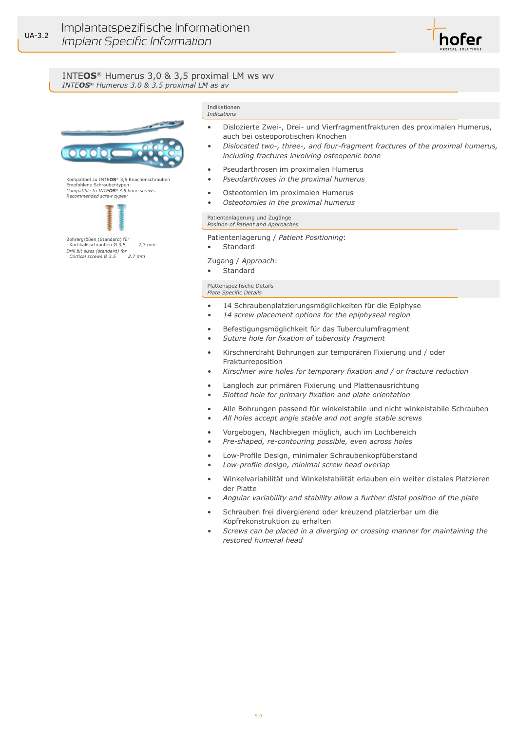

## INTE**OS**® Humerus 3,0 & 3,5 proximal LM ws wv *INTEOS*® *Humerus 3.0 & 3.5 proximal LM as av*



Kompatibel zu INTE**OS**® 3,5 Knochenschrauben Empfohlene Schraubentypen: *Compatible to INTEOS® 3.5 bone screws Recommended screw types:*



Bohrergrößen (Standard) für Kortikalisschrauben Ø 3,5 2,7 mm *Drill bit sizes (standard) for Cortical screws Ø 3.5* 

#### Indikationen *Indications*

- Dislozierte Zwei-, Drei- und Vierfragmentfrakturen des proximalen Humerus, auch bei osteoporotischen Knochen
- *• Dislocated two-, three-, and four-fragment fractures of the proximal humerus, including fractures involving osteopenic bone*
- Pseudarthrosen im proximalen Humerus
- *• Pseudarthroses in the proximal humerus*
- Osteotomien im proximalen Humerus
- *• Osteotomies in the proximal humerus*

Patientenlagerung und Zugänge *Position of Patient and Approaches*

Patientenlagerung / *Patient Positioning*:

• Standard

Zugang / *Approach*:

**Standard** 

#### Plattenspezifische Details

*Plate Specific Details*

- 14 Schraubenplatzierungsmöglichkeiten für die Epiphyse
- *• 14 screw placement options for the epiphyseal region*
- Befestigungsmöglichkeit für das Tuberculumfragment
- *• Suture hole for fixation of tuberosity fragment*
- Kirschnerdraht Bohrungen zur temporären Fixierung und / oder Frakturreposition
- *• Kirschner wire holes for temporary fixation and / or fracture reduction*
- Langloch zur primären Fixierung und Plattenausrichtung
- *• Slotted hole for primary fixation and plate orientation*
- Alle Bohrungen passend für winkelstabile und nicht winkelstabile Schrauben
	- *• All holes accept angle stable and not angle stable screws*
- Vorgebogen, Nachbiegen möglich, auch im Lochbereich
- *• Pre-shaped, re-contouring possible, even across holes*
- Low-Profile Design, minimaler Schraubenkopfüberstand
- *• Low-profile design, minimal screw head overlap*
- Winkelvariabilität und Winkelstabilität erlauben ein weiter distales Platzieren der Platte
- *• Angular variability and stability allow a further distal position of the plate*
- Schrauben frei divergierend oder kreuzend platzierbar um die Kopfrekonstruktion zu erhalten
- *• Screws can be placed in a diverging or crossing manner for maintaining the restored humeral head*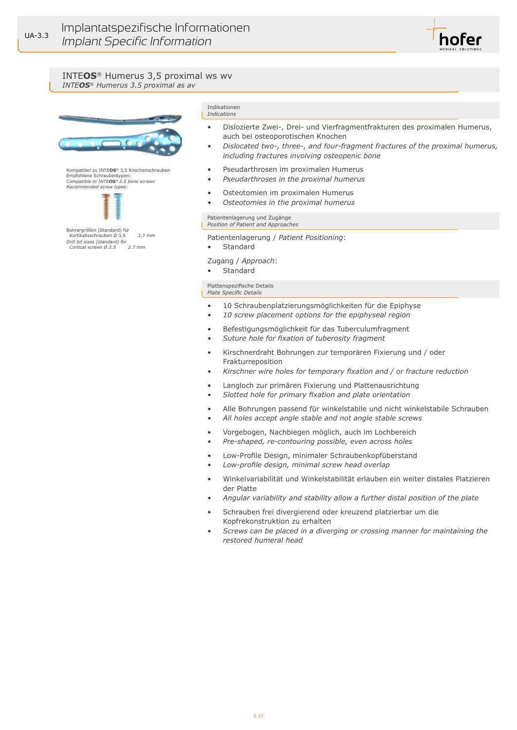

#### INTE**OS**® Humerus 3,5 proximal ws wv *INTEOS*® *Humerus 3.5 proximal as av*



Kompatibel zu INTE**OS**® 3,5 Knochenschrauben Empfohlene Schraubentypen: *Compatible to INTEOS® 3.5 bone screws Recommended screw types:*



Bohrergrößen (Standard) für Kortikalisschrauben Ø 3,5 2,7 mm *Drill bit sizes (standard) for Cortical screws Ø 3.5* 

#### Indikationen *Indications*

- Dislozierte Zwei-, Drei- und Vierfragmentfrakturen des proximalen Humerus, auch bei osteoporotischen Knochen
- *• Dislocated two-, three-, and four-fragment fractures of the proximal humerus, including fractures involving osteopenic bone*
- Pseudarthrosen im proximalen Humerus
- *• Pseudarthroses in the proximal humerus*
- Osteotomien im proximalen Humerus
- *• Osteotomies in the proximal humerus*

Patientenlagerung und Zugänge *Position of Patient and Approaches*

Patientenlagerung / *Patient Positioning*:

• Standard

Zugang / *Approach*:

**Standard** 

#### Plattenspezifische Details

*Plate Specific Details*

- 10 Schraubenplatzierungsmöglichkeiten für die Epiphyse
- *• 10 screw placement options for the epiphyseal region*
- Befestigungsmöglichkeit für das Tuberculumfragment
- *• Suture hole for fixation of tuberosity fragment*
- Kirschnerdraht Bohrungen zur temporären Fixierung und / oder Frakturreposition
- *• Kirschner wire holes for temporary fixation and / or fracture reduction*
- Langloch zur primären Fixierung und Plattenausrichtung
- *• Slotted hole for primary fixation and plate orientation*
- Alle Bohrungen passend für winkelstabile und nicht winkelstabile Schrauben
- *• All holes accept angle stable and not angle stable screws*
- Vorgebogen, Nachbiegen möglich, auch im Lochbereich
- *• Pre-shaped, re-contouring possible, even across holes*
- Low-Profile Design, minimaler Schraubenkopfüberstand
- *• Low-profile design, minimal screw head overlap*
- Winkelvariabilität und Winkelstabilität erlauben ein weiter distales Platzieren der Platte
- *• Angular variability and stability allow a further distal position of the plate*
- Schrauben frei divergierend oder kreuzend platzierbar um die Kopfrekonstruktion zu erhalten
- *• Screws can be placed in a diverging or crossing manner for maintaining the restored humeral head*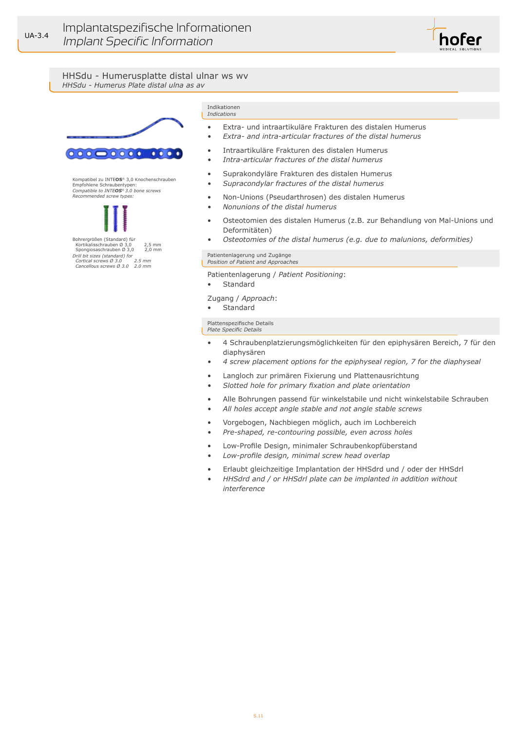

HHSdu - Humerusplatte distal ulnar ws wv *HHSdu - Humerus Plate distal ulna as av*



Kompatibel zu INTE**OS**® 3,0 Knochenschrauben Empfohlene Schraubentypen: *Compatible to INTEOS® 3.0 bone screws Recommended screw types:*



Kortikalisschrauben  $\varnothing$  3,0 2,5 mm<br>Spongiosaschrauben  $\varnothing$  3,0 2,0 mm Spongiosaschrauben Ø 3,0 2,0 mm *Drill bit sizes (standard) for Cortical screws Ø 3.0 2.5 mm Cancellous screws Ø 3.0 2.0 mm*

#### Indikationen *Indications*

- Extra- und intraartikuläre Frakturen des distalen Humerus
- *• Extra- and intra-articular fractures of the distal humerus*
- Intraartikuläre Frakturen des distalen Humerus
- *• Intra-articular fractures of the distal humerus*
- Suprakondyläre Frakturen des distalen Humerus
- *• Supracondylar fractures of the distal humerus*
- Non-Unions (Pseudarthrosen) des distalen Humerus
- *• Nonunions of the distal humerus*
- Osteotomien des distalen Humerus (z.B. zur Behandlung von Mal-Unions und Deformitäten)
- *• Osteotomies of the distal humerus (e.g. due to malunions, deformities)*

Patientenlagerung und Zugänge *Position of Patient and Approaches*

- Patientenlagerung / *Patient Positioning*:
- **Standard**

Zugang / *Approach*:

• Standard

- 4 Schraubenplatzierungsmöglichkeiten für den epiphysären Bereich, 7 für den diaphysären
- *• 4 screw placement options for the epiphyseal region, 7 for the diaphyseal*
- Langloch zur primären Fixierung und Plattenausrichtung
- *• Slotted hole for primary fixation and plate orientation*
- Alle Bohrungen passend für winkelstabile und nicht winkelstabile Schrauben
- *• All holes accept angle stable and not angle stable screws*
- Vorgebogen, Nachbiegen möglich, auch im Lochbereich
- *• Pre-shaped, re-contouring possible, even across holes*
- Low-Profile Design, minimaler Schraubenkopfüberstand
- *• Low-profile design, minimal screw head overlap*
- Erlaubt gleichzeitige Implantation der HHSdrd und / oder der HHSdrl
- *• HHSdrd and / or HHSdrl plate can be implanted in addition without interference*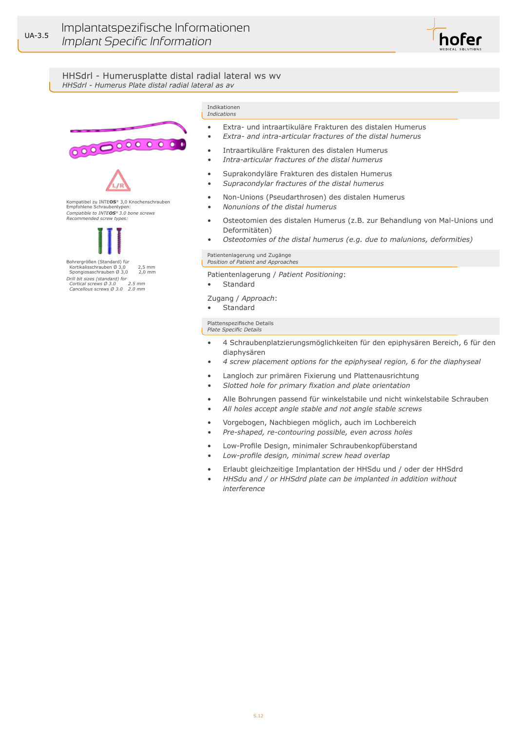

HHSdrl - Humerusplatte distal radial lateral ws wv *HHSdrl - Humerus Plate distal radial lateral as av*



 Kortikalisschrauben Ø 3,0 2,5 mm Spongiosaschrauben Ø 3,0 2,0 mm *Drill bit sizes (standard) for Cortical screws Ø 3.0 2.5 mm Cancellous screws Ø 3.0 2.0 mm*

#### Indikationen *Indications*

- Extra- und intraartikuläre Frakturen des distalen Humerus
- *• Extra- and intra-articular fractures of the distal humerus*
- Intraartikuläre Frakturen des distalen Humerus
- *• Intra-articular fractures of the distal humerus*
- Suprakondyläre Frakturen des distalen Humerus
- *• Supracondylar fractures of the distal humerus*
- Non-Unions (Pseudarthrosen) des distalen Humerus
- *• Nonunions of the distal humerus*
- Osteotomien des distalen Humerus (z.B. zur Behandlung von Mal-Unions und Deformitäten)
- *• Osteotomies of the distal humerus (e.g. due to malunions, deformities)*

#### Patientenlagerung und Zugänge *Position of Patient and Approaches*

- Patientenlagerung / *Patient Positioning*:
- **Standard**

Zugang / *Approach*:

• Standard

- 4 Schraubenplatzierungsmöglichkeiten für den epiphysären Bereich, 6 für den diaphysären
- *• 4 screw placement options for the epiphyseal region, 6 for the diaphyseal*
- Langloch zur primären Fixierung und Plattenausrichtung
- *• Slotted hole for primary fixation and plate orientation*
- Alle Bohrungen passend für winkelstabile und nicht winkelstabile Schrauben
- *• All holes accept angle stable and not angle stable screws*
- Vorgebogen, Nachbiegen möglich, auch im Lochbereich
- *• Pre-shaped, re-contouring possible, even across holes*
- Low-Profile Design, minimaler Schraubenkopfüberstand
- *• Low-profile design, minimal screw head overlap*
- Erlaubt gleichzeitige Implantation der HHSdu und / oder der HHSdrd
- *• HHSdu and / or HHSdrd plate can be implanted in addition without interference*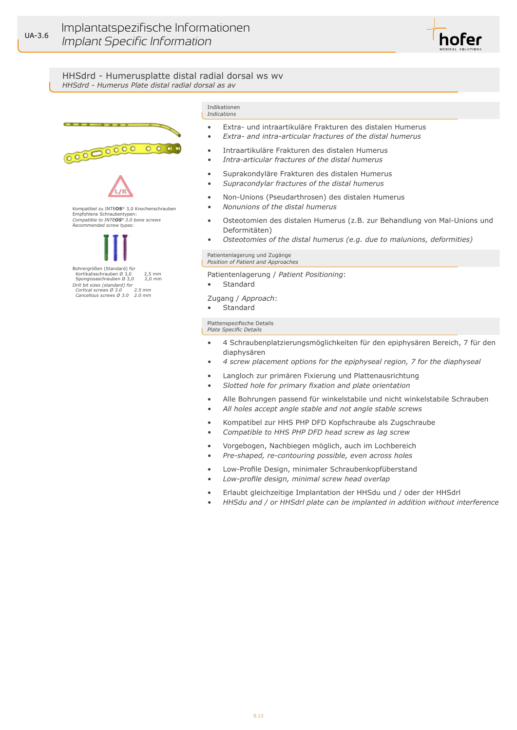

## HHSdrd - Humerusplatte distal radial dorsal ws wv *HHSdrd - Humerus Plate distal radial dorsal as av*



#### Indikationen *Indications*

- Extra- und intraartikuläre Frakturen des distalen Humerus
- *• Extra- and intra-articular fractures of the distal humerus*
- Intraartikuläre Frakturen des distalen Humerus
- *• Intra-articular fractures of the distal humerus*
- Suprakondyläre Frakturen des distalen Humerus
- *• Supracondylar fractures of the distal humerus*
- Non-Unions (Pseudarthrosen) des distalen Humerus
- *• Nonunions of the distal humerus*
- Osteotomien des distalen Humerus (z.B. zur Behandlung von Mal-Unions und Deformitäten)
- *• Osteotomies of the distal humerus (e.g. due to malunions, deformities)*

#### Patientenlagerung und Zugänge *Position of Patient and Approaches*

- Patientenlagerung / *Patient Positioning*:
- **Standard**

Zugang / *Approach*:

• Standard

- 4 Schraubenplatzierungsmöglichkeiten für den epiphysären Bereich, 7 für den diaphysären
- *• 4 screw placement options for the epiphyseal region, 7 for the diaphyseal*
- Langloch zur primären Fixierung und Plattenausrichtung
- *• Slotted hole for primary fixation and plate orientation*
- Alle Bohrungen passend für winkelstabile und nicht winkelstabile Schrauben
- *• All holes accept angle stable and not angle stable screws*
- Kompatibel zur HHS PHP DFD Kopfschraube als Zugschraube
- *• Compatible to HHS PHP DFD head screw as lag screw*
- Vorgebogen, Nachbiegen möglich, auch im Lochbereich
- *• Pre-shaped, re-contouring possible, even across holes*
- Low-Profile Design, minimaler Schraubenkopfüberstand
- *• Low-profile design, minimal screw head overlap*
- Erlaubt gleichzeitige Implantation der HHSdu und / oder der HHSdrl
- *• HHSdu and / or HHSdrl plate can be implanted in addition without interference*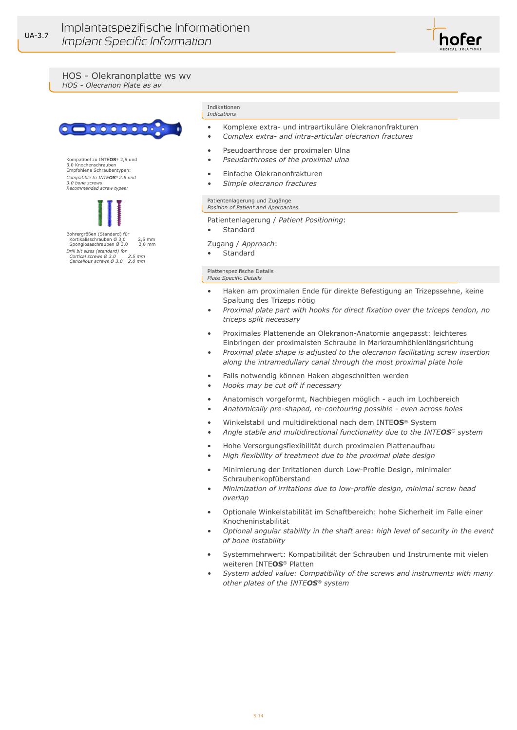



Kompatibel zu INTE**OS**® 2,5 und 3,0 Knochenschrauben Empfohlene Schraubentypen: *Compatible to INTEOS® 2.5 und 3.0 bone screws Recommended screw types:*



Bohrergrößen (Standard) für Kortikalisschrauben Ø  $3,0$  2,5 mm<br>Spongiosaschrauben Ø 3.0 2.0 mm Spongiosaschrauben  $\varnothing$  3,0 *Drill bit sizes (standard) for Cortical screws Ø 3.0 2.5 mm Cancellous screws Ø 3.0 2.0 mm*

#### Indikationen *Indications*

• Komplexe extra- und intraartikuläre Olekranonfrakturen

hofer

- *• Complex extra- and intra-articular olecranon fractures*
- Pseudoarthrose der proximalen Ulna
- *• Pseudarthroses of the proximal ulna*
- Einfache Olekranonfrakturen
- *• Simple olecranon fractures*

# Patientenlagerung und Zugänge *Position of Patient and Approaches*

Patientenlagerung / *Patient Positioning*:

• Standard

Zugang / *Approach*:

**Standard** 

- Haken am proximalen Ende für direkte Befestigung an Trizepssehne, keine Spaltung des Trizeps nötig
- *• Proximal plate part with hooks for direct fixation over the triceps tendon, no triceps split necessary*
- Proximales Plattenende an Olekranon-Anatomie angepasst: leichteres Einbringen der proximalsten Schraube in Markraumhöhlenlängsrichtung
- *• Proximal plate shape is adjusted to the olecranon facilitating screw insertion along the intramedullary canal through the most proximal plate hole*
- Falls notwendig können Haken abgeschnitten werden
- *• Hooks may be cut off if necessary*
- Anatomisch vorgeformt, Nachbiegen möglich auch im Lochbereich
- *• Anatomically pre-shaped, re-contouring possible even across holes*
- Winkelstabil und multidirektional nach dem INTE**OS**® System
- *• Angle stable and multidirectional functionality due to the INTEOS® system*
- Hohe Versorgungsflexibilität durch proximalen Plattenaufbau
- *• High flexibility of treatment due to the proximal plate design*
- Minimierung der Irritationen durch Low-Profile Design, minimaler Schraubenkopfüberstand
- *• Minimization of irritations due to low-profile design, minimal screw head overlap*
- Optionale Winkelstabilität im Schaftbereich: hohe Sicherheit im Falle einer Knocheninstabilität
- *• Optional angular stability in the shaft area: high level of security in the event of bone instability*
- Systemmehrwert: Kompatibilität der Schrauben und Instrumente mit vielen weiteren INTE**OS**® Platten
- *• System added value: Compatibility of the screws and instruments with many other plates of the INTEOS® system*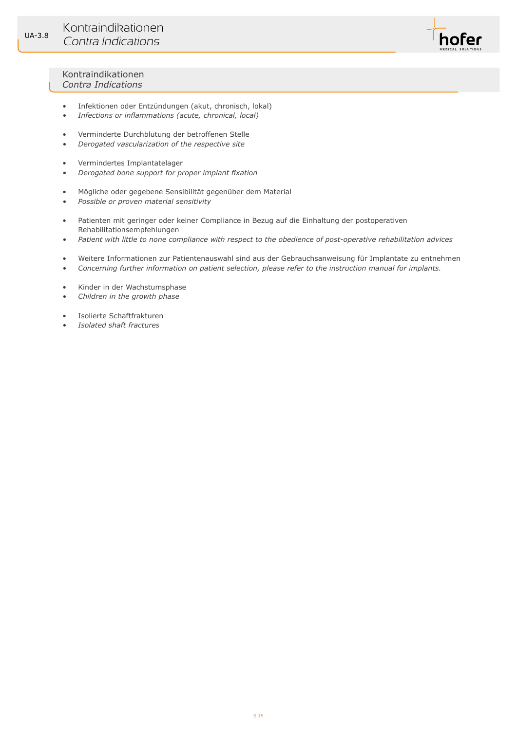

## Kontraindikationen *Contra Indications*

- Infektionen oder Entzündungen (akut, chronisch, lokal)
- *• Infections or inflammations (acute, chronical, local)*
- Verminderte Durchblutung der betroffenen Stelle
- *• Derogated vascularization of the respective site*
- Vermindertes Implantatelager
- *• Derogated bone support for proper implant fixation*
- Mögliche oder gegebene Sensibilität gegenüber dem Material
- *• Possible or proven material sensitivity*
- Patienten mit geringer oder keiner Compliance in Bezug auf die Einhaltung der postoperativen Rehabilitationsempfehlungen
- *• Patient with little to none compliance with respect to the obedience of post-operative rehabilitation advices*
- Weitere Informationen zur Patientenauswahl sind aus der Gebrauchsanweisung für Implantate zu entnehmen
- *• Concerning further information on patient selection, please refer to the instruction manual for implants.*
- Kinder in der Wachstumsphase
- *• Children in the growth phase*
- Isolierte Schaftfrakturen
- *• Isolated shaft fractures*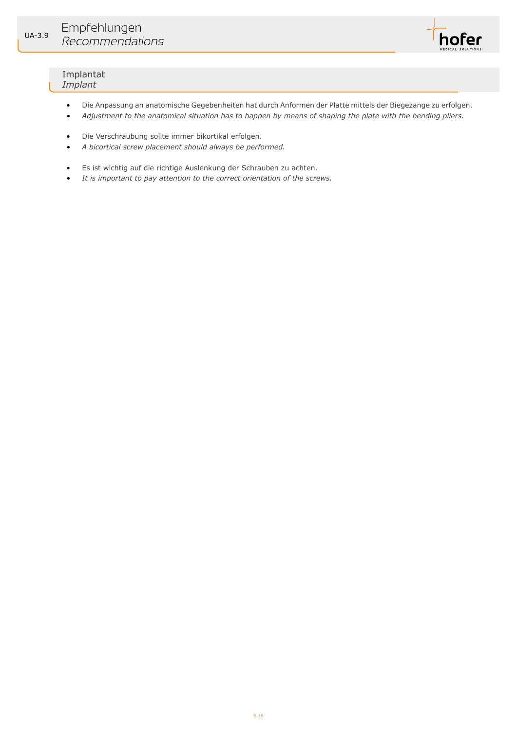

## Implantat *Implant*

- Die Anpassung an anatomische Gegebenheiten hat durch Anformen der Platte mittels der Biegezange zu erfolgen.
- *• Adjustment to the anatomical situation has to happen by means of shaping the plate with the bending pliers.*
- Die Verschraubung sollte immer bikortikal erfolgen.
- *• A bicortical screw placement should always be performed.*
- Es ist wichtig auf die richtige Auslenkung der Schrauben zu achten.
- *• It is important to pay attention to the correct orientation of the screws.*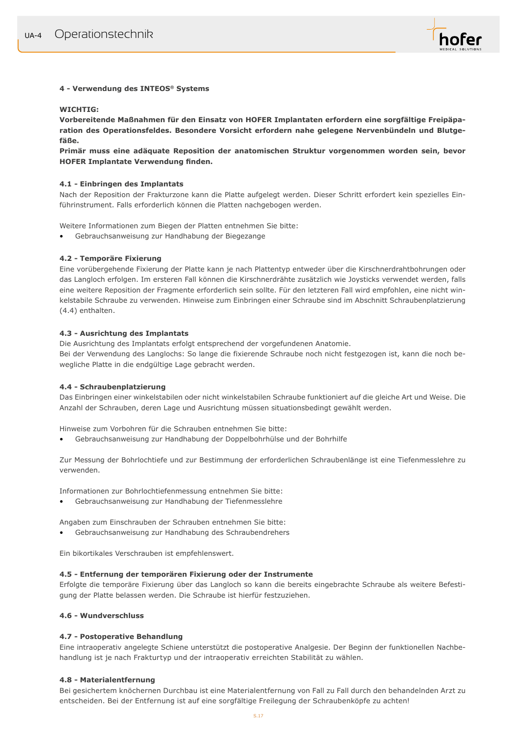

## **4 - Verwendung des INTEOS® Systems**

## **WICHTIG:**

**Vorbereitende Maßnahmen für den Einsatz von HOFER Implantaten erfordern eine sorgfältige Freipäparation des Operationsfeldes. Besondere Vorsicht erfordern nahe gelegene Nervenbündeln und Blutgefäße.** 

**Primär muss eine adäquate Reposition der anatomischen Struktur vorgenommen worden sein, bevor HOFER Implantate Verwendung finden.** 

#### **4.1 - Einbringen des Implantats**

Nach der Reposition der Frakturzone kann die Platte aufgelegt werden. Dieser Schritt erfordert kein spezielles Einführinstrument. Falls erforderlich können die Platten nachgebogen werden.

Weitere Informationen zum Biegen der Platten entnehmen Sie bitte:

• Gebrauchsanweisung zur Handhabung der Biegezange

## **4.2 - Temporäre Fixierung**

Eine vorübergehende Fixierung der Platte kann je nach Plattentyp entweder über die Kirschnerdrahtbohrungen oder das Langloch erfolgen. Im ersteren Fall können die Kirschnerdrähte zusätzlich wie Joysticks verwendet werden, falls eine weitere Reposition der Fragmente erforderlich sein sollte. Für den letzteren Fall wird empfohlen, eine nicht winkelstabile Schraube zu verwenden. Hinweise zum Einbringen einer Schraube sind im Abschnitt Schraubenplatzierung (4.4) enthalten.

## **4.3 - Ausrichtung des Implantats**

Die Ausrichtung des Implantats erfolgt entsprechend der vorgefundenen Anatomie.

Bei der Verwendung des Langlochs: So lange die fixierende Schraube noch nicht festgezogen ist, kann die noch bewegliche Platte in die endgültige Lage gebracht werden.

## **4.4 - Schraubenplatzierung**

Das Einbringen einer winkelstabilen oder nicht winkelstabilen Schraube funktioniert auf die gleiche Art und Weise. Die Anzahl der Schrauben, deren Lage und Ausrichtung müssen situationsbedingt gewählt werden.

Hinweise zum Vorbohren für die Schrauben entnehmen Sie bitte:

• Gebrauchsanweisung zur Handhabung der Doppelbohrhülse und der Bohrhilfe

Zur Messung der Bohrlochtiefe und zur Bestimmung der erforderlichen Schraubenlänge ist eine Tiefenmesslehre zu verwenden.

Informationen zur Bohrlochtiefenmessung entnehmen Sie bitte:

• Gebrauchsanweisung zur Handhabung der Tiefenmesslehre

Angaben zum Einschrauben der Schrauben entnehmen Sie bitte:

• Gebrauchsanweisung zur Handhabung des Schraubendrehers

Ein bikortikales Verschrauben ist empfehlenswert.

## **4.5 - Entfernung der temporären Fixierung oder der Instrumente**

Erfolgte die temporäre Fixierung über das Langloch so kann die bereits eingebrachte Schraube als weitere Befestigung der Platte belassen werden. Die Schraube ist hierfür festzuziehen.

## **4.6 - Wundverschluss**

## **4.7 - Postoperative Behandlung**

Eine intraoperativ angelegte Schiene unterstützt die postoperative Analgesie. Der Beginn der funktionellen Nachbehandlung ist je nach Frakturtyp und der intraoperativ erreichten Stabilität zu wählen.

#### **4.8 - Materialentfernung**

Bei gesichertem knöchernen Durchbau ist eine Materialentfernung von Fall zu Fall durch den behandelnden Arzt zu entscheiden. Bei der Entfernung ist auf eine sorgfältige Freilegung der Schraubenköpfe zu achten!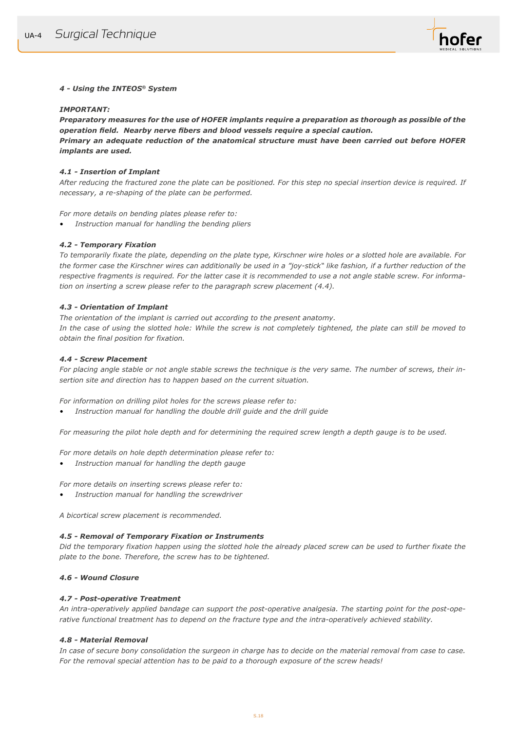

## *4 - Using the INTEOS® System*

#### *IMPORTANT:*

*Preparatory measures for the use of HOFER implants require a preparation as thorough as possible of the operation field. Nearby nerve fibers and blood vessels require a special caution.*

*Primary an adequate reduction of the anatomical structure must have been carried out before HOFER implants are used.* 

#### *4.1 - Insertion of Implant*

*After reducing the fractured zone the plate can be positioned. For this step no special insertion device is required. If necessary, a re-shaping of the plate can be performed.*

#### *For more details on bending plates please refer to:*

*• Instruction manual for handling the bending pliers*

## *4.2 - Temporary Fixation*

*To temporarily fixate the plate, depending on the plate type, Kirschner wire holes or a slotted hole are available. For the former case the Kirschner wires can additionally be used in a "joy-stick" like fashion, if a further reduction of the respective fragments is required. For the latter case it is recommended to use a not angle stable screw. For information on inserting a screw please refer to the paragraph screw placement (4.4).*

#### *4.3 - Orientation of Implant*

*The orientation of the implant is carried out according to the present anatomy. In the case of using the slotted hole: While the screw is not completely tightened, the plate can still be moved to obtain the final position for fixation.*

#### *4.4 - Screw Placement*

*For placing angle stable or not angle stable screws the technique is the very same. The number of screws, their insertion site and direction has to happen based on the current situation.*

*For information on drilling pilot holes for the screws please refer to:*

*• Instruction manual for handling the double drill guide and the drill guide*

*For measuring the pilot hole depth and for determining the required screw length a depth gauge is to be used.* 

*For more details on hole depth determination please refer to:*

*• Instruction manual for handling the depth gauge*

*For more details on inserting screws please refer to:* 

*• Instruction manual for handling the screwdriver*

*A bicortical screw placement is recommended.* 

#### *4.5 - Removal of Temporary Fixation or Instruments*

*Did the temporary fixation happen using the slotted hole the already placed screw can be used to further fixate the plate to the bone. Therefore, the screw has to be tightened.*

## *4.6 - Wound Closure*

## *4.7 - Post-operative Treatment*

*An intra-operatively applied bandage can support the post-operative analgesia. The starting point for the post-operative functional treatment has to depend on the fracture type and the intra-operatively achieved stability.*

#### *4.8 - Material Removal*

*In case of secure bony consolidation the surgeon in charge has to decide on the material removal from case to case. For the removal special attention has to be paid to a thorough exposure of the screw heads!*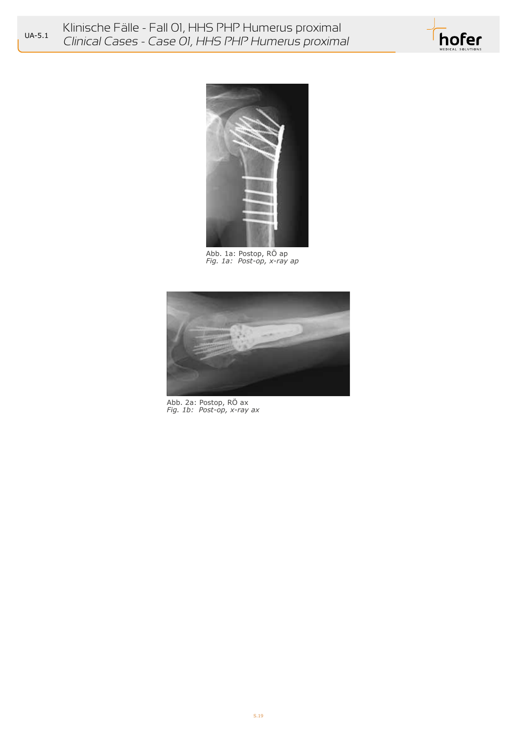



Abb. 1a: Postop, RO ap *Fig. 1a: Post-op, x-ray ap*



Abb. 2a: Postop, RÖ ax *Fig. 1b: Post-op, x-ray ax*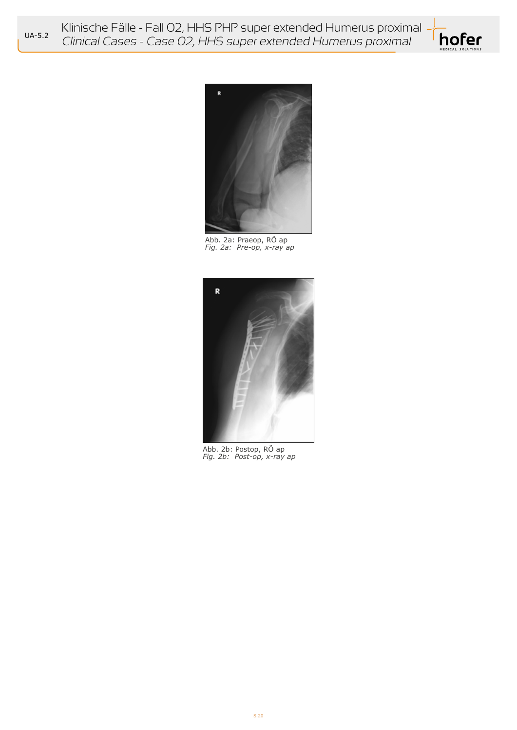Klinische Fälle - Fall 02, HHS PHP super extended Humerus proximal Clinical Cases - Case 02, HHS super extended Humerus proximal





Abb. 2a: Praeop, RÖ ap *Fig. 2a: Pre-op, x-ray ap*



Abb. 2b: Postop, RÖ ap *Fig. 2b: Post-op, x-ray ap*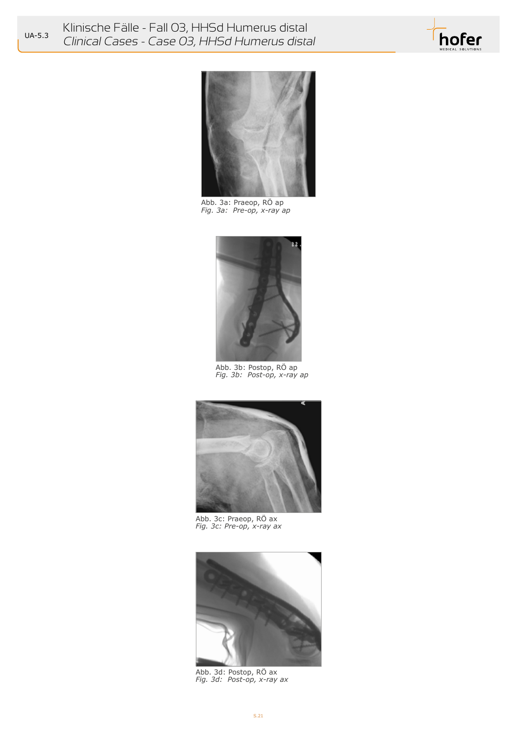



*Fig. 3a: Pre-op, x-ray ap* Abb. 3a: Praeop, RO ap



*Fig. 3b: Post-op, x-ray ap* Abb. 3b: Postop, RÖ ap



*Fig. 3c: Pre-op, x-ray ax* Abb. 3c: Praeop, RO ax



*Fig. 3d: Post-op, x-ray ax* Abb. 3d: Postop, RÖ ax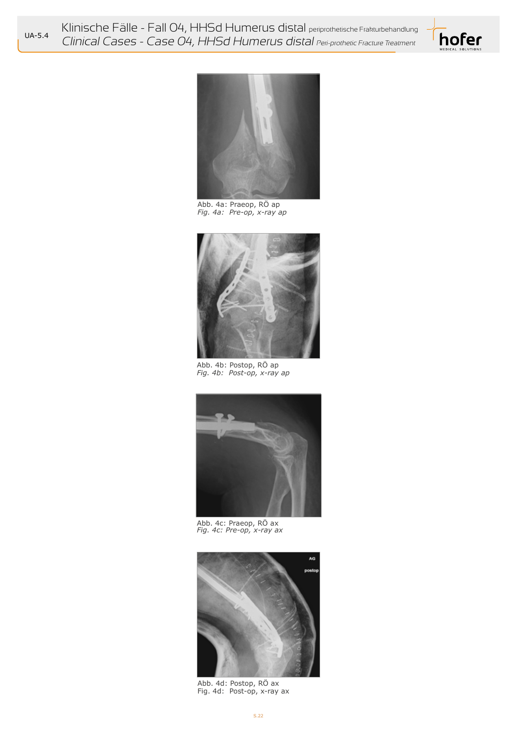Klinische Fälle - Fall 04, HHSd Humerus distal periprothetische Frakturbehandlung<br>UA-5.4 Clinical Caesae Caesa Olu ULICal Ulumerus distal Clinical Cases - Case 04, HHSd Humerus distal Peri-prothetic Fracture Treatment





*Fig. 4a: Pre-op, x-ray ap* Abb. 4a: Praeop, RÖ ap



*Fig. 4b: Post-op, x-ray ap* Abb. 4b: Postop, RÖ ap



Abb. 4c: Praeop, RO ax<br>*Fig. 4c: Pre-op, x-ray ax* 



Fig. 4d: Post-op, x-ray ax Abb. 4d: Postop, RÖ ax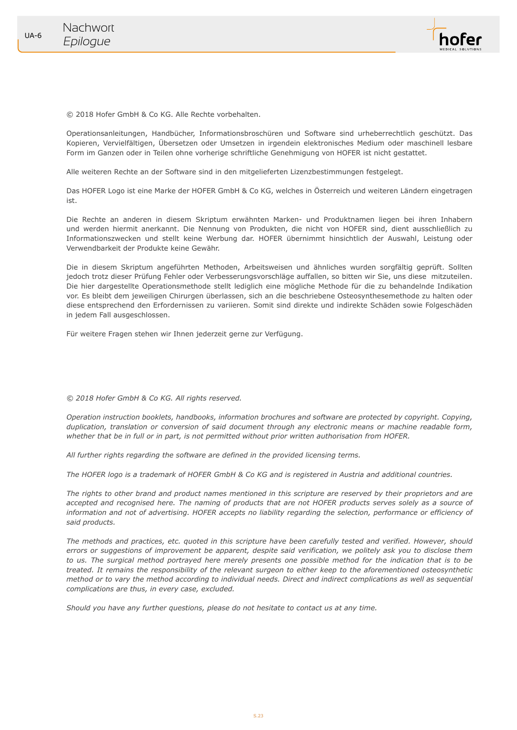

© 2018 Hofer GmbH & Co KG. Alle Rechte vorbehalten.

Operationsanleitungen, Handbücher, Informationsbroschüren und Software sind urheberrechtlich geschützt. Das Kopieren, Vervielfältigen, Übersetzen oder Umsetzen in irgendein elektronisches Medium oder maschinell lesbare Form im Ganzen oder in Teilen ohne vorherige schriftliche Genehmigung von HOFER ist nicht gestattet.

Alle weiteren Rechte an der Software sind in den mitgelieferten Lizenzbestimmungen festgelegt.

Das HOFER Logo ist eine Marke der HOFER GmbH & Co KG, welches in Österreich und weiteren Ländern eingetragen ist.

Die Rechte an anderen in diesem Skriptum erwähnten Marken- und Produktnamen liegen bei ihren Inhabern und werden hiermit anerkannt. Die Nennung von Produkten, die nicht von HOFER sind, dient ausschließlich zu Informationszwecken und stellt keine Werbung dar. HOFER übernimmt hinsichtlich der Auswahl, Leistung oder Verwendbarkeit der Produkte keine Gewähr.

Die in diesem Skriptum angeführten Methoden, Arbeitsweisen und ähnliches wurden sorgfältig geprüft. Sollten jedoch trotz dieser Prüfung Fehler oder Verbesserungsvorschläge auffallen, so bitten wir Sie, uns diese mitzuteilen. Die hier dargestellte Operationsmethode stellt lediglich eine mögliche Methode für die zu behandelnde Indikation vor. Es bleibt dem jeweiligen Chirurgen überlassen, sich an die beschriebene Osteosynthesemethode zu halten oder diese entsprechend den Erfordernissen zu variieren. Somit sind direkte und indirekte Schäden sowie Folgeschäden in jedem Fall ausgeschlossen.

Für weitere Fragen stehen wir Ihnen jederzeit gerne zur Verfügung.

*© 2018 Hofer GmbH & Co KG. All rights reserved.*

*Operation instruction booklets, handbooks, information brochures and software are protected by copyright. Copying, duplication, translation or conversion of said document through any electronic means or machine readable form, whether that be in full or in part, is not permitted without prior written authorisation from HOFER.*

*All further rights regarding the software are defined in the provided licensing terms.*

*The HOFER logo is a trademark of HOFER GmbH & Co KG and is registered in Austria and additional countries.*

*The rights to other brand and product names mentioned in this scripture are reserved by their proprietors and are accepted and recognised here. The naming of products that are not HOFER products serves solely as a source of*  information and not of advertising. HOFER accepts no liability regarding the selection, performance or efficiency of *said products.*

*The methods and practices, etc. quoted in this scripture have been carefully tested and verified. However, should errors or suggestions of improvement be apparent, despite said verification, we politely ask you to disclose them*  to us. The surgical method portrayed here merely presents one possible method for the indication that is to be *treated. It remains the responsibility of the relevant surgeon to either keep to the aforementioned osteosynthetic method or to vary the method according to individual needs. Direct and indirect complications as well as sequential complications are thus, in every case, excluded.*

*Should you have any further questions, please do not hesitate to contact us at any time.*